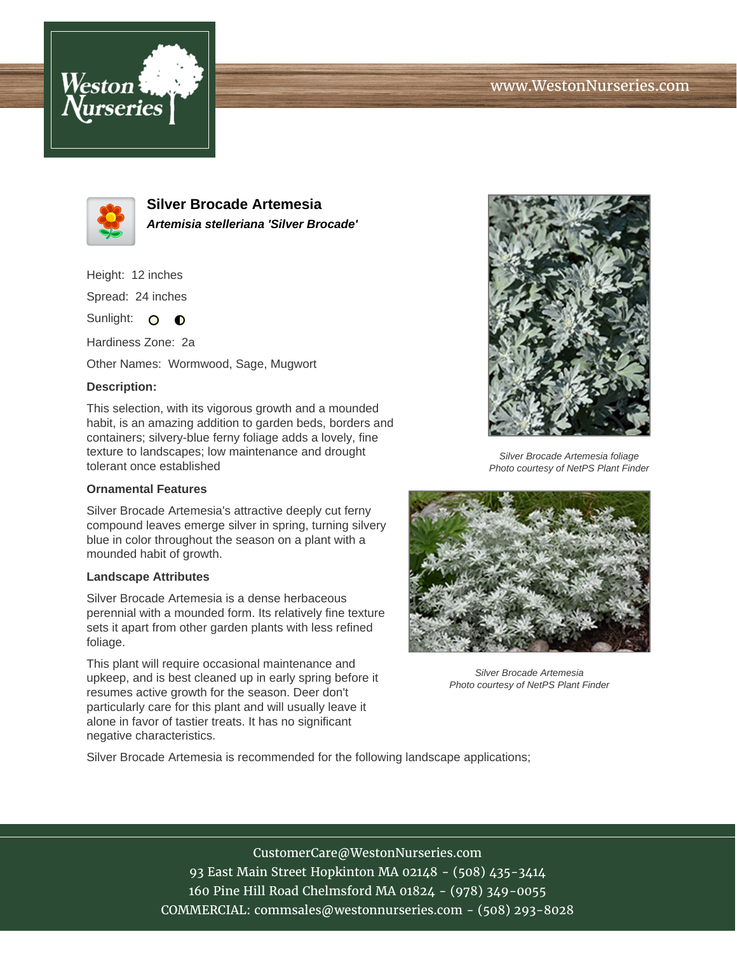# www.WestonNurseries.com





**Silver Brocade Artemesia Artemisia stelleriana 'Silver Brocade'**

Height: 12 inches Spread: 24 inches

Sunlight: O **O** 

Hardiness Zone: 2a

Other Names: Wormwood, Sage, Mugwort

### **Description:**

This selection, with its vigorous growth and a mounded habit, is an amazing addition to garden beds, borders and containers; silvery-blue ferny foliage adds a lovely, fine texture to landscapes; low maintenance and drought tolerant once established

#### **Ornamental Features**

Silver Brocade Artemesia's attractive deeply cut ferny compound leaves emerge silver in spring, turning silvery blue in color throughout the season on a plant with a mounded habit of growth.

#### **Landscape Attributes**

Silver Brocade Artemesia is a dense herbaceous perennial with a mounded form. Its relatively fine texture sets it apart from other garden plants with less refined foliage.

This plant will require occasional maintenance and upkeep, and is best cleaned up in early spring before it resumes active growth for the season. Deer don't particularly care for this plant and will usually leave it alone in favor of tastier treats. It has no significant negative characteristics.



Silver Brocade Artemesia foliage Photo courtesy of NetPS Plant Finder



Silver Brocade Artemesia Photo courtesy of NetPS Plant Finder

Silver Brocade Artemesia is recommended for the following landscape applications;

CustomerCare@WestonNurseries.com 93 East Main Street Hopkinton MA 02148 - (508) 435-3414 160 Pine Hill Road Chelmsford MA 01824 - (978) 349-0055 COMMERCIAL: commsales@westonnurseries.com - (508) 293-8028